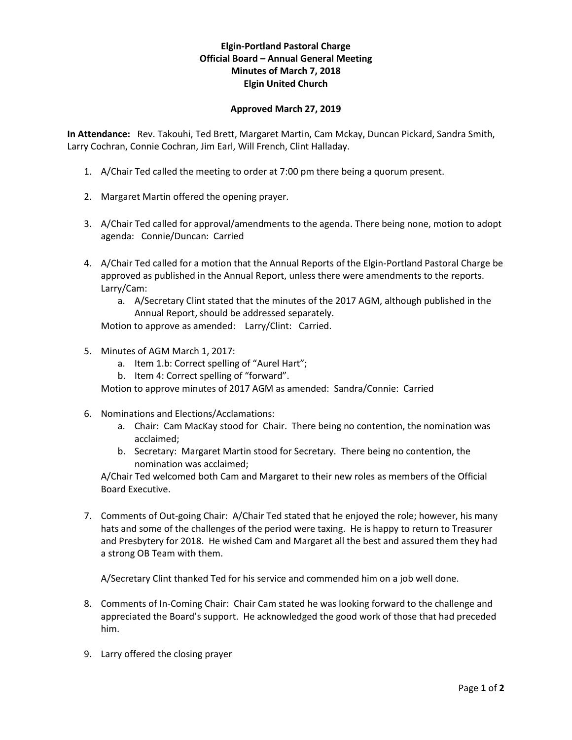## **Elgin-Portland Pastoral Charge Official Board – Annual General Meeting Minutes of March 7, 2018 Elgin United Church**

## **Approved March 27, 2019**

**In Attendance:** Rev. Takouhi, Ted Brett, Margaret Martin, Cam Mckay, Duncan Pickard, Sandra Smith, Larry Cochran, Connie Cochran, Jim Earl, Will French, Clint Halladay.

- 1. A/Chair Ted called the meeting to order at 7:00 pm there being a quorum present.
- 2. Margaret Martin offered the opening prayer.
- 3. A/Chair Ted called for approval/amendments to the agenda. There being none, motion to adopt agenda: Connie/Duncan: Carried
- 4. A/Chair Ted called for a motion that the Annual Reports of the Elgin-Portland Pastoral Charge be approved as published in the Annual Report, unless there were amendments to the reports. Larry/Cam:
	- a. A/Secretary Clint stated that the minutes of the 2017 AGM, although published in the Annual Report, should be addressed separately.

Motion to approve as amended: Larry/Clint: Carried.

- 5. Minutes of AGM March 1, 2017:
	- a. Item 1.b: Correct spelling of "Aurel Hart";
	- b. Item 4: Correct spelling of "forward".

Motion to approve minutes of 2017 AGM as amended: Sandra/Connie: Carried

- 6. Nominations and Elections/Acclamations:
	- a. Chair: Cam MacKay stood for Chair. There being no contention, the nomination was acclaimed;
	- b. Secretary: Margaret Martin stood for Secretary. There being no contention, the nomination was acclaimed;

A/Chair Ted welcomed both Cam and Margaret to their new roles as members of the Official Board Executive.

7. Comments of Out-going Chair: A/Chair Ted stated that he enjoyed the role; however, his many hats and some of the challenges of the period were taxing. He is happy to return to Treasurer and Presbytery for 2018. He wished Cam and Margaret all the best and assured them they had a strong OB Team with them.

A/Secretary Clint thanked Ted for his service and commended him on a job well done.

- 8. Comments of In-Coming Chair: Chair Cam stated he was looking forward to the challenge and appreciated the Board's support. He acknowledged the good work of those that had preceded him.
- 9. Larry offered the closing prayer